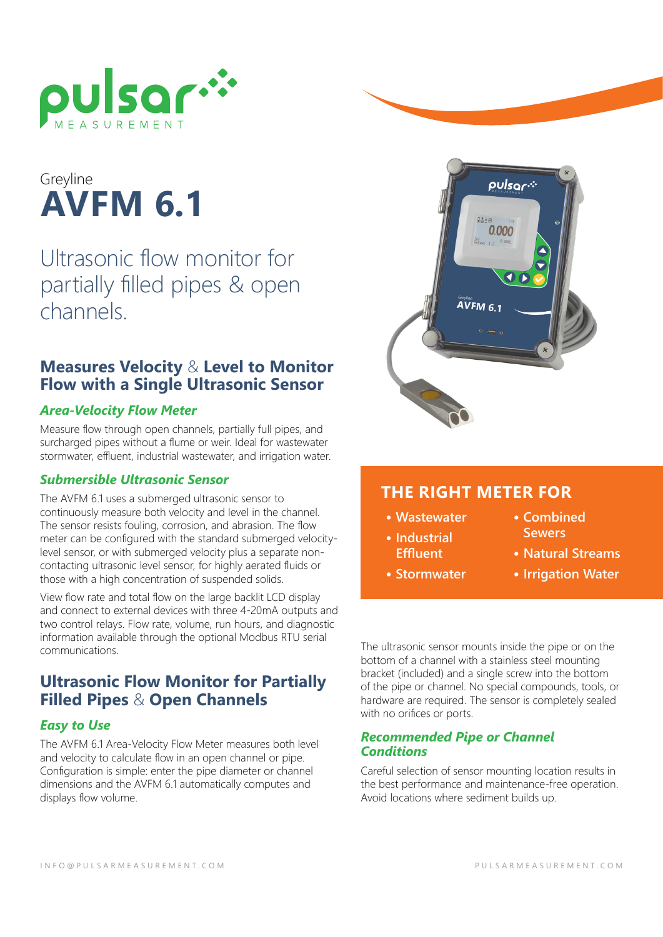

# **AVFM 6.1** Greyline

Ultrasonic flow monitor for partially filled pipes & open channels.

#### **Measures Velocity** & **Level to Monitor Flow with a Single Ultrasonic Sensor**

#### *Area-Velocity Flow Meter*

Measure flow through open channels, partially full pipes, and surcharged pipes without a flume or weir. Ideal for wastewater stormwater, effluent, industrial wastewater, and irrigation water.

#### *Submersible Ultrasonic Sensor*

The AVFM 6.1 uses a submerged ultrasonic sensor to continuously measure both velocity and level in the channel. The sensor resists fouling, corrosion, and abrasion. The flow meter can be configured with the standard submerged velocitylevel sensor, or with submerged velocity plus a separate noncontacting ultrasonic level sensor, for highly aerated fluids or those with a high concentration of suspended solids.

View flow rate and total flow on the large backlit LCD display and connect to external devices with three 4-20mA outputs and two control relays. Flow rate, volume, run hours, and diagnostic information available through the optional Modbus RTU serial communications.

### **Ultrasonic Flow Monitor for Partially Filled Pipes** & **Open Channels**

#### *Easy to Use*

The AVFM 6.1 Area-Velocity Flow Meter measures both level and velocity to calculate flow in an open channel or pipe. Configuration is simple: enter the pipe diameter or channel dimensions and the AVFM 6.1 automatically computes and displays flow volume.



### **THE RIGHT METER FOR**

- **• Wastewater**
- **• Industrial Effluent**
- **• Stormwater**
- **• Combined Sewers**
- **• Natural Streams**
- **• Irrigation Water**

The ultrasonic sensor mounts inside the pipe or on the bottom of a channel with a stainless steel mounting bracket (included) and a single screw into the bottom of the pipe or channel. No special compounds, tools, or hardware are required. The sensor is completely sealed with no orifices or ports.

#### *Recommended Pipe or Channel Conditions*

Careful selection of sensor mounting location results in the best performance and maintenance-free operation. Avoid locations where sediment builds up.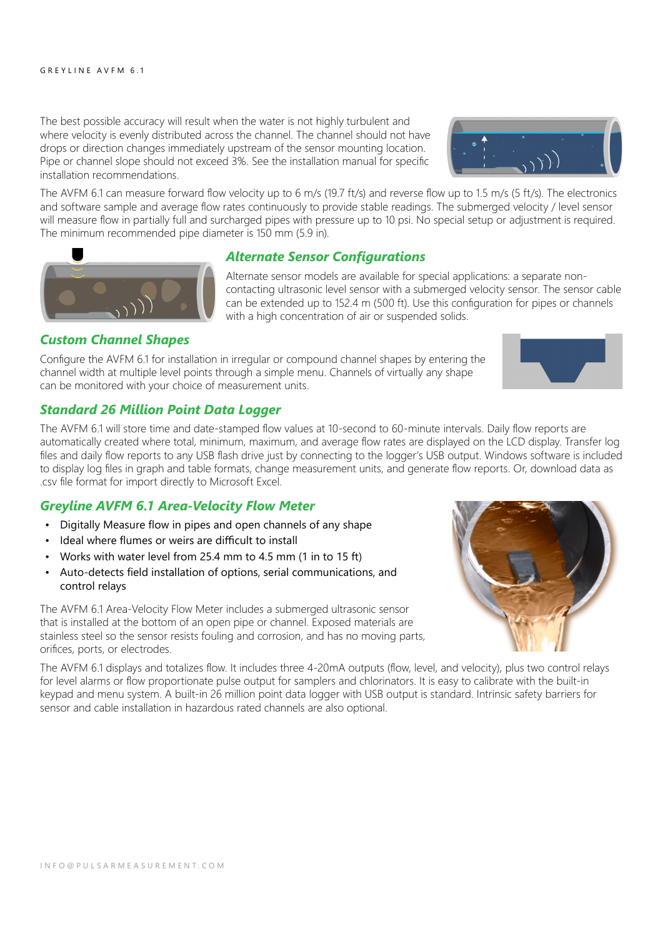The best possible accuracy will result when the water is not highly turbulent and where velocity is evenly distributed across the channel. The channel should not have drops or direction changes immediately upstream of the sensor mounting location. Pipe or channel slope should not exceed 3%. See the installation manual for specific installation recommendations.

The AVFM 6.1 can measure forward flow velocity up to 6 m/s (19.7 ft/s) and reverse flow up to 1.5 m/s (5 ft/s). The electronics and software sample and average flow rates continuously to provide stable readings. The submerged velocity / level sensor will measure flow in partially full and surcharged pipes with pressure up to 10 psi. No special setup or adjustment is required. The minimum recommended pipe diameter is 150 mm (5.9 in).



Alternate sensor models are available for special applications: a separate noncontacting ultrasonic level sensor with a submerged velocity sensor. The sensor cable can be extended up to 152.4 m (500 ft). Use this configuration for pipes or channels with a high concentration of air or suspended solids.

#### *Custom Channel Shapes*

Configure the AVFM 6.1 for installation in irregular or compound channel shapes by entering the channel width at multiple level points through a simple menu. Channels of virtually any shape can be monitored with your choice of measurement units.

#### *Standard 26 Million Point Data Logger*

The AVFM 6.1 will store time and date-stamped flow values at 10-second to 60-minute intervals. Daily flow reports are automatically created where total, minimum, maximum, and average flow rates are displayed on the LCD display. Transfer log files and daily flow reports to any USB flash drive just by connecting to the logger's USB output. Windows software is included to display log files in graph and table formats, change measurement units, and generate flow reports. Or, download data as .csv file format for import directly to Microsoft Excel.

#### *Greyline AVFM 6.1 Area-Velocity Flow Meter*

- Digitally Measure flow in pipes and open channels of any shape
- Ideal where flumes or weirs are difficult to install
- Works with water level from 25.4 mm to 4.5 mm (1 in to 15 ft)
- Auto-detects field installation of options, serial communications, and control relays

The AVFM 6.1 Area-Velocity Flow Meter includes a submerged ultrasonic sensor that is installed at the bottom of an open pipe or channel. Exposed materials are stainless steel so the sensor resists fouling and corrosion, and has no moving parts, orifices, ports, or electrodes.

The AVFM 6.1 displays and totalizes flow. It includes three 4-20mA outputs (flow, level, and velocity), plus two control relays for level alarms or flow proportionate pulse output for samplers and chlorinators. It is easy to calibrate with the built-in keypad and menu system. A built-in 26 million point data logger with USB output is standard. Intrinsic safety barriers for sensor and cable installation in hazardous rated channels are also optional.





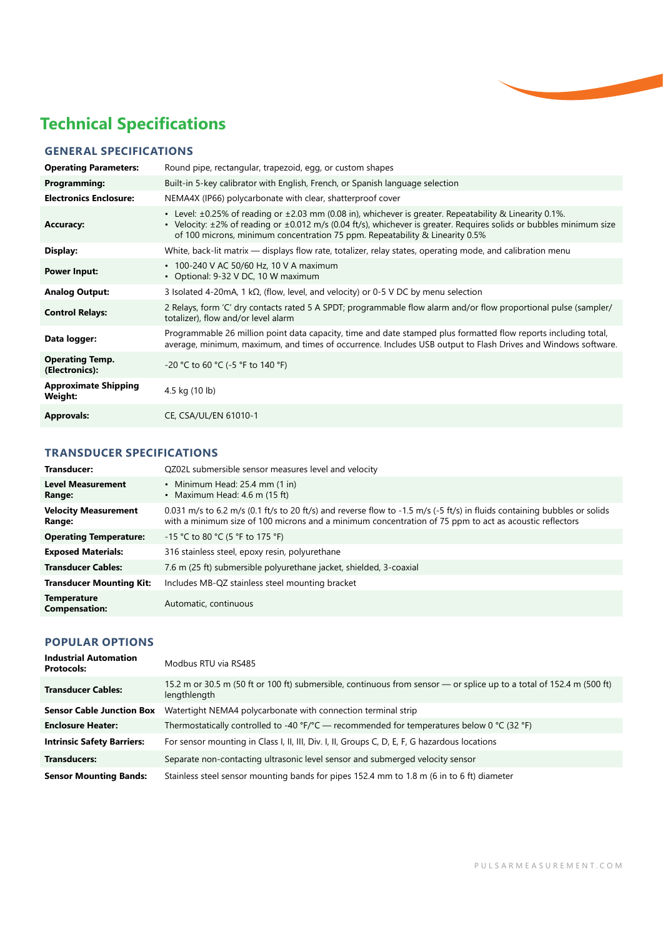

### **Technical Specifications**

#### **GENERAL SPECIFICATIONS**

| <b>Operating Parameters:</b>             | Round pipe, rectangular, trapezoid, egg, or custom shapes                                                                                                                                                                                                                                                                            |
|------------------------------------------|--------------------------------------------------------------------------------------------------------------------------------------------------------------------------------------------------------------------------------------------------------------------------------------------------------------------------------------|
| <b>Programming:</b>                      | Built-in 5-key calibrator with English, French, or Spanish language selection                                                                                                                                                                                                                                                        |
| <b>Electronics Enclosure:</b>            | NEMA4X (IP66) polycarbonate with clear, shatterproof cover                                                                                                                                                                                                                                                                           |
| <b>Accuracy:</b>                         | • Level: $\pm 0.25\%$ of reading or $\pm 2.03$ mm (0.08 in), whichever is greater. Repeatability & Linearity 0.1%.<br>• Velocity: $\pm 2\%$ of reading or $\pm 0.012$ m/s (0.04 ft/s), whichever is greater. Reguires solids or bubbles minimum size<br>of 100 microns, minimum concentration 75 ppm. Repeatability & Linearity 0.5% |
| Display:                                 | White, back-lit matrix — displays flow rate, totalizer, relay states, operating mode, and calibration menu                                                                                                                                                                                                                           |
| <b>Power Input:</b>                      | • 100-240 V AC 50/60 Hz, 10 V A maximum<br>• Optional: 9-32 V DC, 10 W maximum                                                                                                                                                                                                                                                       |
| <b>Analog Output:</b>                    | 3 Isolated 4-20mA, 1 k $\Omega$ , (flow, level, and velocity) or 0-5 V DC by menu selection                                                                                                                                                                                                                                          |
| <b>Control Relays:</b>                   | 2 Relays, form 'C' dry contacts rated 5 A SPDT; programmable flow alarm and/or flow proportional pulse (sampler/<br>totalizer), flow and/or level alarm                                                                                                                                                                              |
| Data logger:                             | Programmable 26 million point data capacity, time and date stamped plus formatted flow reports including total,<br>average, minimum, maximum, and times of occurrence. Includes USB output to Flash Drives and Windows software.                                                                                                     |
| <b>Operating Temp.</b><br>(Electronics): | -20 °C to 60 °C (-5 °F to 140 °F)                                                                                                                                                                                                                                                                                                    |
| <b>Approximate Shipping</b><br>Weight:   | 4.5 kg (10 lb)                                                                                                                                                                                                                                                                                                                       |
| <b>Approvals:</b>                        | CE, CSA/UL/EN 61010-1                                                                                                                                                                                                                                                                                                                |

#### **TRANSDUCER SPECIFICATIONS**

| Transducer:                                | QZ02L submersible sensor measures level and velocity                                                                                                                                                                               |
|--------------------------------------------|------------------------------------------------------------------------------------------------------------------------------------------------------------------------------------------------------------------------------------|
| <b>Level Measurement</b><br>Range:         | • Minimum Head: $25.4$ mm $(1 \text{ in})$<br>• Maximum Head: $4.6$ m (15 ft)                                                                                                                                                      |
| <b>Velocity Measurement</b><br>Range:      | 0.031 m/s to 6.2 m/s (0.1 ft/s to 20 ft/s) and reverse flow to -1.5 m/s (-5 ft/s) in fluids containing bubbles or solids<br>with a minimum size of 100 microns and a minimum concentration of 75 ppm to act as acoustic reflectors |
| <b>Operating Temperature:</b>              | $-15$ °C to 80 °C (5 °F to 175 °F)                                                                                                                                                                                                 |
| <b>Exposed Materials:</b>                  | 316 stainless steel, epoxy resin, polyurethane                                                                                                                                                                                     |
| <b>Transducer Cables:</b>                  | 7.6 m (25 ft) submersible polyurethane jacket, shielded, 3-coaxial                                                                                                                                                                 |
| <b>Transducer Mounting Kit:</b>            | Includes MB-QZ stainless steel mounting bracket                                                                                                                                                                                    |
| <b>Temperature</b><br><b>Compensation:</b> | Automatic, continuous                                                                                                                                                                                                              |

#### **POPULAR OPTIONS**

| <b>Industrial Automation</b><br><b>Protocols:</b> | Modbus RTU via RS485                                                                                                                 |
|---------------------------------------------------|--------------------------------------------------------------------------------------------------------------------------------------|
| <b>Transducer Cables:</b>                         | 15.2 m or 30.5 m (50 ft or 100 ft) submersible, continuous from sensor — or splice up to a total of 152.4 m (500 ft)<br>lengthlength |
| <b>Sensor Cable Junction Box</b>                  | Watertight NEMA4 polycarbonate with connection terminal strip                                                                        |
| <b>Enclosure Heater:</b>                          | Thermostatically controlled to -40 °F/°C — recommended for temperatures below 0 °C (32 °F)                                           |
| <b>Intrinsic Safety Barriers:</b>                 | For sensor mounting in Class I, II, III, Div. I, II, Groups C, D, E, F, G hazardous locations                                        |
| <b>Transducers:</b>                               | Separate non-contacting ultrasonic level sensor and submerged velocity sensor                                                        |
| <b>Sensor Mounting Bands:</b>                     | Stainless steel sensor mounting bands for pipes 152.4 mm to 1.8 m (6 in to 6 ft) diameter                                            |